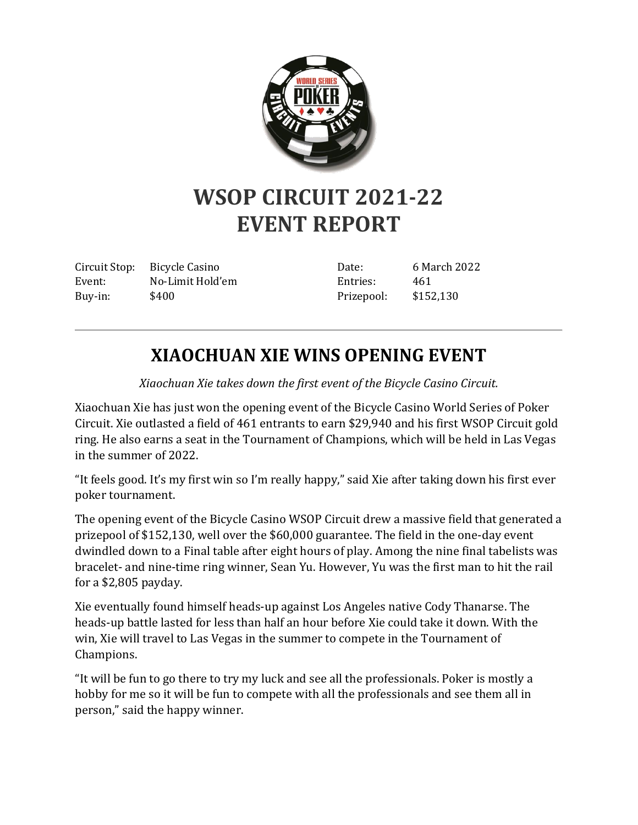

## **WSOP CIRCUIT 2021-22 EVENT REPORT**

Circuit Stop: Bicycle Casino Event: No-Limit Hold'em Buy-in: \$400

Date: 6 March 2022 Entries: 461 Prizepool: \$152,130

## **XIAOCHUAN XIE WINS OPENING EVENT**

*Xiaochuan Xie takes down the first event of the Bicycle Casino Circuit.*

Xiaochuan Xie has just won the opening event of the Bicycle Casino World Series of Poker Circuit. Xie outlasted a field of 461 entrants to earn \$29,940 and his first WSOP Circuit gold ring. He also earns a seat in the Tournament of Champions, which will be held in Las Vegas in the summer of 2022.

"It feels good. It's my first win so I'm really happy," said Xie after taking down his first ever poker tournament.

The opening event of the Bicycle Casino WSOP Circuit drew a massive field that generated a prizepool of \$152,130, well over the \$60,000 guarantee. The field in the one-day event dwindled down to a Final table after eight hours of play. Among the nine final tabelists was bracelet- and nine-time ring winner, Sean Yu. However, Yu was the first man to hit the rail for a \$2,805 payday.

Xie eventually found himself heads-up against Los Angeles native Cody Thanarse. The heads-up battle lasted for less than half an hour before Xie could take it down. With the win, Xie will travel to Las Vegas in the summer to compete in the Tournament of Champions.

"It will be fun to go there to try my luck and see all the professionals. Poker is mostly a hobby for me so it will be fun to compete with all the professionals and see them all in person," said the happy winner.